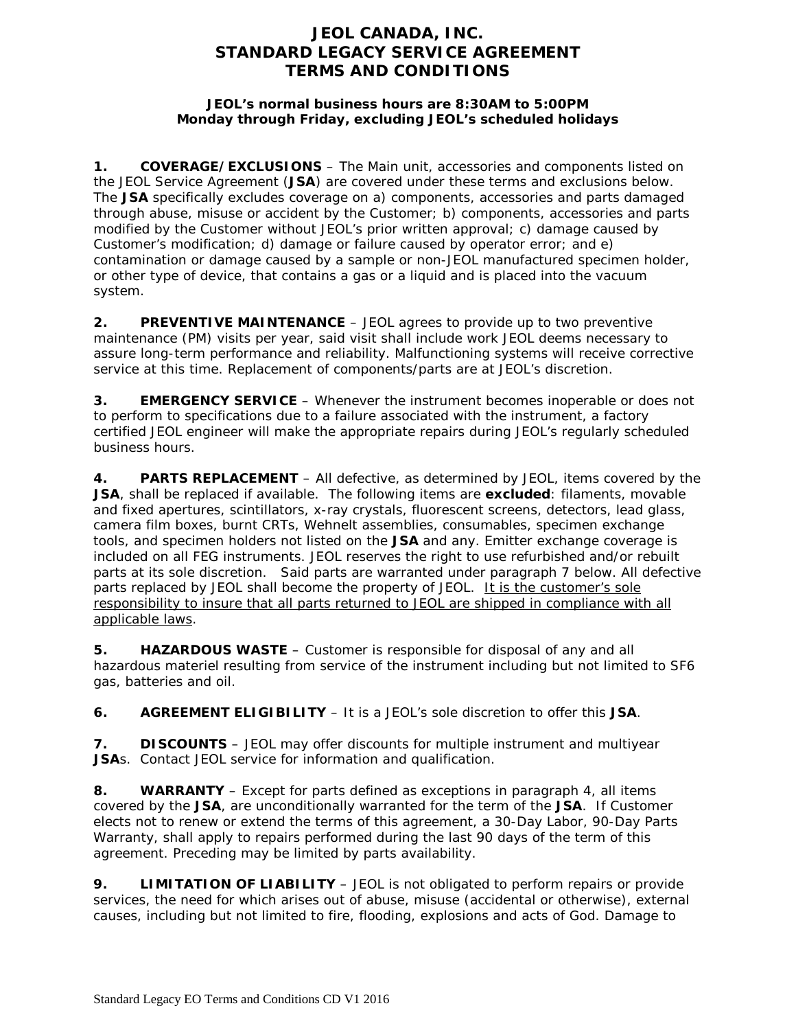# **JEOL CANADA, INC. STANDARD LEGACY SERVICE AGREEMENT TERMS AND CONDITIONS**

### **JEOL's normal business hours are 8:30AM to 5:00PM Monday through Friday, excluding JEOL's scheduled holidays**

**1. COVERAGE/EXCLUSIONS** – The Main unit, accessories and components listed on the JEOL Service Agreement (**JSA**) are covered under these terms and exclusions below. The **JSA** specifically excludes coverage on a) components, accessories and parts damaged through abuse, misuse or accident by the Customer; b) components, accessories and parts modified by the Customer without JEOL's prior written approval; c) damage caused by Customer's modification; d) damage or failure caused by operator error; and e) contamination or damage caused by a sample or non-JEOL manufactured specimen holder, or other type of device, that contains a gas or a liquid and is placed into the vacuum system.

**2. PREVENTIVE MAINTENANCE** – JEOL agrees to provide up to two preventive maintenance (PM) visits per year, said visit shall include work JEOL deems necessary to assure long-term performance and reliability. Malfunctioning systems will receive corrective service at this time. Replacement of components/parts are at JEOL's discretion.

**3. EMERGENCY SERVICE** – Whenever the instrument becomes inoperable or does not to perform to specifications due to a failure associated with the instrument, a factory certified JEOL engineer will make the appropriate repairs during JEOL's regularly scheduled business hours.

**4. PARTS REPLACEMENT** – All defective, as determined by JEOL, items covered by the **JSA**, shall be replaced if available. The following items are **excluded**: filaments, movable and fixed apertures, scintillators, x-ray crystals, fluorescent screens, detectors, lead glass, camera film boxes, burnt CRTs, Wehnelt assemblies, consumables, specimen exchange tools, and specimen holders not listed on the **JSA** and any. Emitter exchange coverage is included on all FEG instruments. JEOL reserves the right to use refurbished and/or rebuilt parts at its sole discretion. Said parts are warranted under paragraph 7 below. All defective parts replaced by JEOL shall become the property of JEOL. It is the customer's sole responsibility to insure that all parts returned to JEOL are shipped in compliance with all applicable laws.

**5. HAZARDOUS WASTE** – Customer is responsible for disposal of any and all hazardous materiel resulting from service of the instrument including but not limited to SF6 gas, batteries and oil.

**6. AGREEMENT ELIGIBILITY** – It is a JEOL's sole discretion to offer this **JSA**.

**7. DISCOUNTS** – JEOL may offer discounts for multiple instrument and multiyear **JSA**s. Contact JEOL service for information and qualification.

**8. WARRANTY** – Except for parts defined as exceptions in paragraph 4, all items covered by the **JSA**, are unconditionally warranted for the term of the **JSA**. If Customer elects not to renew or extend the terms of this agreement, a 30-Day Labor, 90-Day Parts Warranty, shall apply to repairs performed during the last 90 days of the term of this agreement. Preceding may be limited by parts availability.

**9. LIMITATION OF LIABILITY** – JEOL is not obligated to perform repairs or provide services, the need for which arises out of abuse, misuse (accidental or otherwise), external causes, including but not limited to fire, flooding, explosions and acts of God. Damage to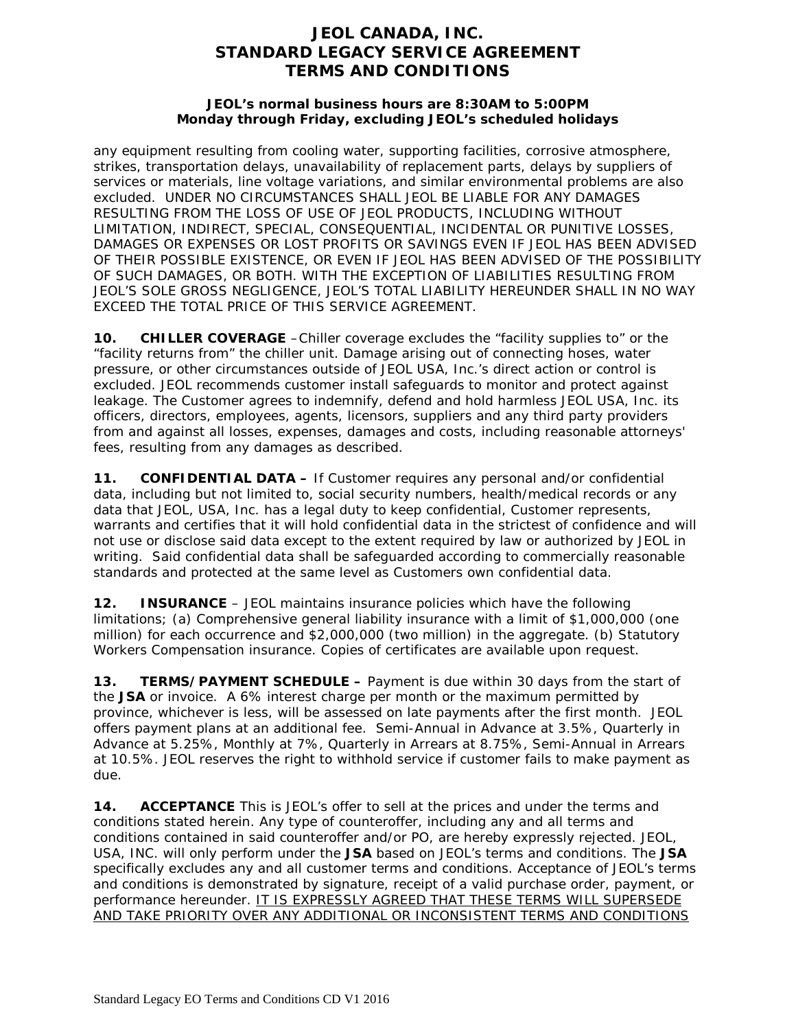## **JEOL CANADA, INC. STANDARD LEGACY SERVICE AGREEMENT TERMS AND CONDITIONS**

#### **JEOL's normal business hours are 8:30AM to 5:00PM Monday through Friday, excluding JEOL's scheduled holidays**

any equipment resulting from cooling water, supporting facilities, corrosive atmosphere, strikes, transportation delays, unavailability of replacement parts, delays by suppliers of services or materials, line voltage variations, and similar environmental problems are also excluded. UNDER NO CIRCUMSTANCES SHALL JEOL BE LIABLE FOR ANY DAMAGES RESULTING FROM THE LOSS OF USE OF JEOL PRODUCTS, INCLUDING WITHOUT LIMITATION, INDIRECT, SPECIAL, CONSEQUENTIAL, INCIDENTAL OR PUNITIVE LOSSES, DAMAGES OR EXPENSES OR LOST PROFITS OR SAVINGS EVEN IF JEOL HAS BEEN ADVISED OF THEIR POSSIBLE EXISTENCE, OR EVEN IF JEOL HAS BEEN ADVISED OF THE POSSIBILITY OF SUCH DAMAGES, OR BOTH. WITH THE EXCEPTION OF LIABILITIES RESULTING FROM JEOL'S SOLE GROSS NEGLIGENCE, JEOL'S TOTAL LIABILITY HEREUNDER SHALL IN NO WAY EXCEED THE TOTAL PRICE OF THIS SERVICE AGREEMENT.

**10. CHILLER COVERAGE** –Chiller coverage excludes the "facility supplies to" or the "facility returns from" the chiller unit. Damage arising out of connecting hoses, water pressure, or other circumstances outside of JEOL USA, Inc.'s direct action or control is excluded. JEOL recommends customer install safeguards to monitor and protect against leakage. The Customer agrees to indemnify, defend and hold harmless JEOL USA, Inc. its officers, directors, employees, agents, licensors, suppliers and any third party providers from and against all losses, expenses, damages and costs, including reasonable attorneys' fees, resulting from any damages as described.

**11. CONFIDENTIAL DATA –** If Customer requires any personal and/or confidential data, including but not limited to, social security numbers, health/medical records or any data that JEOL, USA, Inc. has a legal duty to keep confidential, Customer represents, warrants and certifies that it will hold confidential data in the strictest of confidence and will not use or disclose said data except to the extent required by law or authorized by JEOL in writing. Said confidential data shall be safeguarded according to commercially reasonable standards and protected at the same level as Customers own confidential data.

**12. INSURANCE** – JEOL maintains insurance policies which have the following limitations; (a) Comprehensive general liability insurance with a limit of \$1,000,000 (one million) for each occurrence and \$2,000,000 (two million) in the aggregate. (b) Statutory Workers Compensation insurance. Copies of certificates are available upon request.

**13. TERMS/PAYMENT SCHEDULE –** Payment is due within 30 days from the start of the **JSA** or invoice. A 6% interest charge per month or the maximum permitted by province, whichever is less, will be assessed on late payments after the first month. JEOL offers payment plans at an additional fee. Semi-Annual in Advance at 3.5%, Quarterly in Advance at 5.25%, Monthly at 7%, Quarterly in Arrears at 8.75%, Semi-Annual in Arrears at 10.5%. JEOL reserves the right to withhold service if customer fails to make payment as due.

**14. ACCEPTANCE** This is JEOL's offer to sell at the prices and under the terms and conditions stated herein. Any type of counteroffer, including any and all terms and conditions contained in said counteroffer and/or PO, are hereby expressly rejected. JEOL, USA, INC. will only perform under the **JSA** based on JEOL's terms and conditions. The **JSA** specifically excludes any and all customer terms and conditions. Acceptance of JEOL's terms and conditions is demonstrated by signature, receipt of a valid purchase order, payment, or performance hereunder. IT IS EXPRESSLY AGREED THAT THESE TERMS WILL SUPERSEDE AND TAKE PRIORITY OVER ANY ADDITIONAL OR INCONSISTENT TERMS AND CONDITIONS